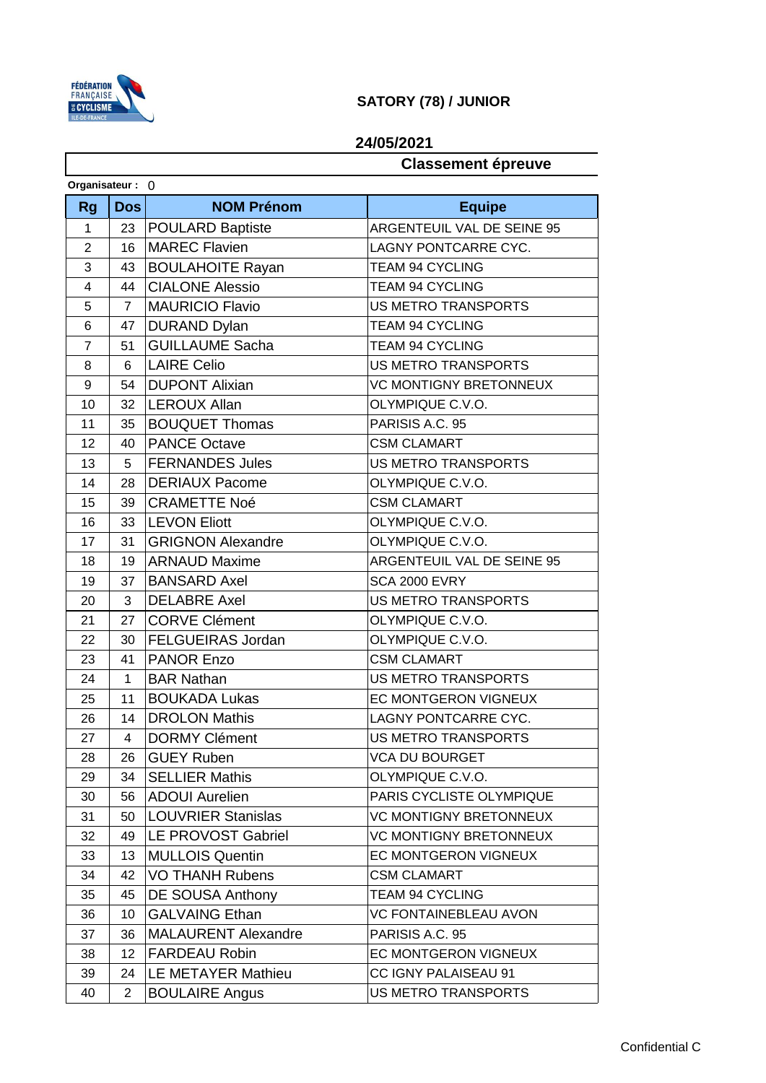

## **SATORY (78) / JUNIOR**

## **24/05/2021**

## **Classement épreuve**

| Organisateur: 0 |                |                            |                               |  |  |
|-----------------|----------------|----------------------------|-------------------------------|--|--|
| <b>Rg</b>       | <b>Dos</b>     | <b>NOM Prénom</b>          | <b>Equipe</b>                 |  |  |
| 1               | 23             | <b>POULARD Baptiste</b>    | ARGENTEUIL VAL DE SEINE 95    |  |  |
| $\overline{2}$  | 16             | <b>MAREC Flavien</b>       | <b>LAGNY PONTCARRE CYC.</b>   |  |  |
| 3               | 43             | <b>BOULAHOITE Rayan</b>    | <b>TEAM 94 CYCLING</b>        |  |  |
| $\overline{4}$  | 44             | <b>CIALONE Alessio</b>     | <b>TEAM 94 CYCLING</b>        |  |  |
| 5               | 7              | <b>MAURICIO Flavio</b>     | <b>US METRO TRANSPORTS</b>    |  |  |
| 6               | 47             | <b>DURAND Dylan</b>        | <b>TEAM 94 CYCLING</b>        |  |  |
| $\overline{7}$  | 51             | <b>GUILLAUME Sacha</b>     | TEAM 94 CYCLING               |  |  |
| 8               | 6              | <b>LAIRE Celio</b>         | <b>US METRO TRANSPORTS</b>    |  |  |
| 9               | 54             | <b>DUPONT Alixian</b>      | <b>VC MONTIGNY BRETONNEUX</b> |  |  |
| 10              | 32             | <b>LEROUX Allan</b>        | OLYMPIQUE C.V.O.              |  |  |
| 11              | 35             | <b>BOUQUET Thomas</b>      | PARISIS A.C. 95               |  |  |
| 12              | 40             | <b>PANCE Octave</b>        | <b>CSM CLAMART</b>            |  |  |
| 13              | 5              | <b>FERNANDES Jules</b>     | <b>US METRO TRANSPORTS</b>    |  |  |
| 14              | 28             | <b>DERIAUX Pacome</b>      | OLYMPIQUE C.V.O.              |  |  |
| 15              | 39             | <b>CRAMETTE Noé</b>        | <b>CSM CLAMART</b>            |  |  |
| 16              | 33             | <b>LEVON Eliott</b>        | OLYMPIQUE C.V.O.              |  |  |
| 17              | 31             | <b>GRIGNON Alexandre</b>   | OLYMPIQUE C.V.O.              |  |  |
| 18              | 19             | <b>ARNAUD Maxime</b>       | ARGENTEUIL VAL DE SEINE 95    |  |  |
| 19              | 37             | <b>BANSARD Axel</b>        | <b>SCA 2000 EVRY</b>          |  |  |
| 20              | 3              | <b>DELABRE Axel</b>        | <b>US METRO TRANSPORTS</b>    |  |  |
| 21              | 27             | <b>CORVE Clément</b>       | OLYMPIQUE C.V.O.              |  |  |
| 22              | 30             | <b>FELGUEIRAS Jordan</b>   | OLYMPIQUE C.V.O.              |  |  |
| 23              | 41             | <b>PANOR Enzo</b>          | <b>CSM CLAMART</b>            |  |  |
| 24              | 1              | <b>BAR Nathan</b>          | <b>US METRO TRANSPORTS</b>    |  |  |
| 25              | 11             | <b>BOUKADA Lukas</b>       | EC MONTGERON VIGNEUX          |  |  |
| 26              | 14             | <b>DROLON Mathis</b>       | LAGNY PONTCARRE CYC.          |  |  |
| 27              | 4              | <b>DORMY Clément</b>       | US METRO TRANSPORTS           |  |  |
| 28              | 26             | <b>GUEY Ruben</b>          | <b>VCA DU BOURGET</b>         |  |  |
| 29              | 34             | <b>SELLIER Mathis</b>      | OLYMPIQUE C.V.O.              |  |  |
| 30              | 56             | <b>ADOUI Aurelien</b>      | PARIS CYCLISTE OLYMPIQUE      |  |  |
| 31              | 50             | <b>LOUVRIER Stanislas</b>  | VC MONTIGNY BRETONNEUX        |  |  |
| 32              | 49             | LE PROVOST Gabriel         | <b>VC MONTIGNY BRETONNEUX</b> |  |  |
| 33              | 13             | <b>MULLOIS Quentin</b>     | EC MONTGERON VIGNEUX          |  |  |
| 34              | 42             | <b>VO THANH Rubens</b>     | <b>CSM CLAMART</b>            |  |  |
| 35              | 45             | DE SOUSA Anthony           | <b>TEAM 94 CYCLING</b>        |  |  |
| 36              | 10             | <b>GALVAING Ethan</b>      | <b>VC FONTAINEBLEAU AVON</b>  |  |  |
| 37              | 36             | <b>MALAURENT Alexandre</b> | PARISIS A.C. 95               |  |  |
| 38              | 12             | <b>FARDEAU Robin</b>       | EC MONTGERON VIGNEUX          |  |  |
| 39              | 24             | LE METAYER Mathieu         | CC IGNY PALAISEAU 91          |  |  |
| 40              | $\overline{2}$ | <b>BOULAIRE Angus</b>      | US METRO TRANSPORTS           |  |  |